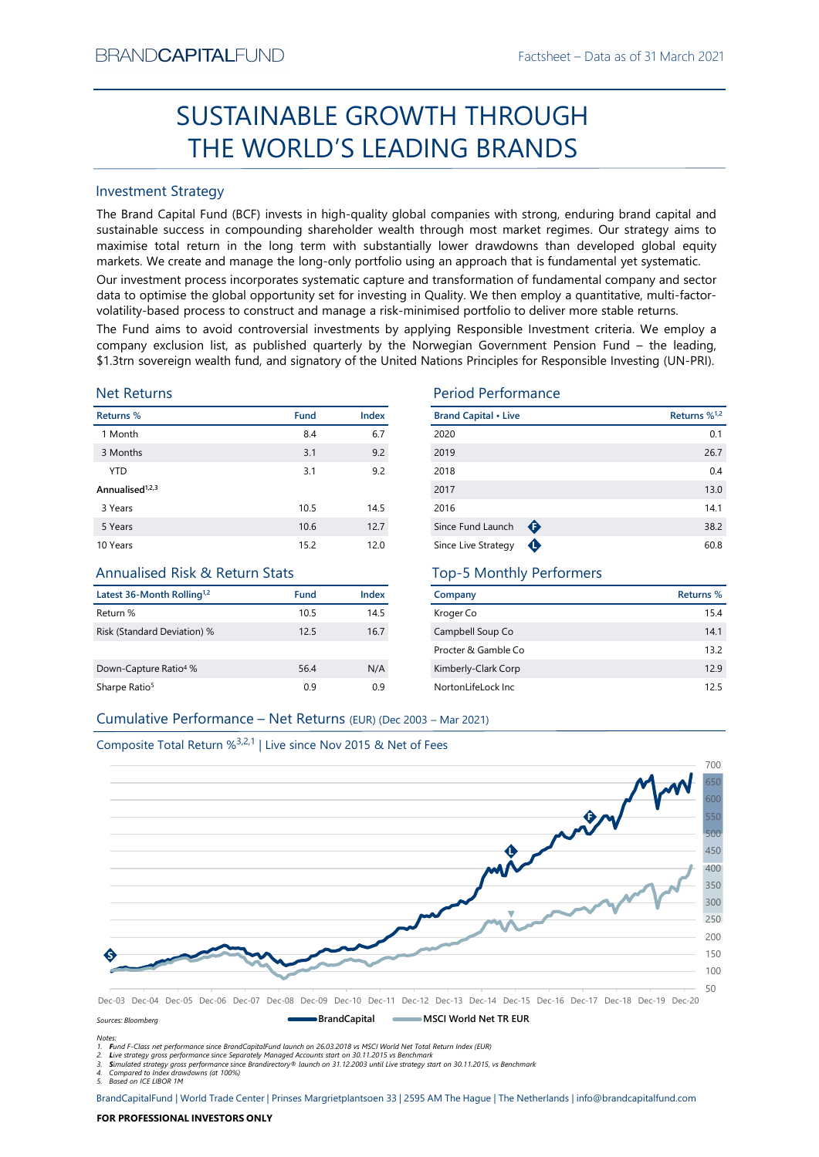# Factsheet – Data as of 31 March 2021<br> **COUGH** SUSTAINABLE GROWTH THROUGH THE WORLD'S LEADING BRANDS

# Investment Strategy

FEVAND-CAPTIALI-UND<br>
Factivities - Dista as of si March 2021<br>
SUSTAINABLE GROWTH THROUGH<br>
THE WORLD'S LEADING BRANDS<br>
Investment Strategy<br>
The Brand Captib Fund Index is in high-quality global companies with strong, endur SUSTAINABLE GROWTH THROUGH<br>
THE WORLD'S LEADING BRANDS<br>
mesternet Strategy<br>
me Brand Capital Fund (BCF) invests in high-quality global companies with strong, enduring brand capital and<br>
ustainable success in compounding s BRAND**CAPITAL**FUND<br>
Factsheet – Data as of 31 March 2021<br> **SUSTAINABLE GROWTH THROUGH**<br> **THE WORLD'S LEADING BRANDS**<br>
Investment Strategy<br>
The Brand Capital Fund (BCF) invests in high-quality global companies with strong, BRAND**CAPITAL**FUND<br>
Factsheet – Data as of 31 March 2021<br> **SUSTAINABLE GROWTH THROUGH**<br> **THE WORLD'S LEADING BRANDS**<br>
Investment Strategy<br>
The Brand Capital Fund (BCF) invests in high-quality global companies with strong, BRAND**CAPITAL**FUND<br>
SUSTAINABLE GROWTH THROUGH<br>
THE WORLD'S LEADING BRANDS<br>
Investment Strategy<br>
Inte Brand Capital Fund (BCF) invests in high-quality global companies with strong, enduring brand capital and<br>
sustainable s BRAND**CAPITAL**FUND<br>
SUSTAINABLE GROWTH THROUGH<br>
THE WORLD'S LEADING BRANDS<br>
Investment Strategy<br>
Investment Strategy<br>
Investment Strategy<br>
Investment Strategy<br>
Investment Strategy<br>
The Brand Capital Fund (BCF) invests in h BRAND**CAPITAL**FUND<br>
SUSTAINABLE GROWTH THROUGH<br>
THE WORLD'S LEADING BRANDS<br>
Investment Strategy<br>
Investment Strategy<br>
Investment Strategy<br>
Investment Strategy<br>
Investment Strategy<br>
Investment Strategy<br>
and Captal is und (I BRAND**CAPITAL**FUND<br>
SUSTAINABLE GROWTH THROUGH<br>
THE WORLD'S LEADING BRANDS<br>
Investment Strategy<br>
Interesting of the grand Capital Fund (BCF) invests in high-quality global companies with strong, enduring brand capital and<br> BRANDCAPITALFUND<br>
SUSTAINABLE GROWTH THROUGH<br>
THE WORLD'S LEADING BRANDS<br>
Investment Strategy<br>
The Brand Capital Fund (BCF) invests in high-quality global companies with strong, enduring brand capital and<br>
sustainable succ BRANDCAPITALFUND<br>
SUSTAINABLE GROWTH THROUGH<br>
THE WORLD'S LEADING BRANDS<br>
Investment Strategy<br>
Investment Strategy<br>
Investment Strategy<br>
Investment Strategy<br>
Investment Strategy<br>
Altan Gaptial Fund (GCF) invests in high-qu **EXAMDCAPITALFUND**<br>
SUSTAINABLE GROWTH THROUGH<br>
THE WORLD'S LEADING BRANDS<br>
Investment Strategy<br>
The Brand Capital Fund (BCF) invests in high-quality global companies with strong, enduring brand capital and<br>
sustsismable **ERANDCAPITALFUND**<br>
SUSTAINABLE GROWTH THROUGH<br>
THE WORLD'S LEADING BRANDS<br>
Investment Strategy<br>
Investment Strategy<br>
Investment Strategy<br>
Investment Strategy<br>
Sustainable success in compounding shareholder wealth funoupl

# Net Returns

| <b>Investment Strategy</b>                                                    |      |       |                                                                                                                                                                                                                                                                                                                                                                                                                                                                                                                                                                                                                                                                                                                                                                                                       |                          |
|-------------------------------------------------------------------------------|------|-------|-------------------------------------------------------------------------------------------------------------------------------------------------------------------------------------------------------------------------------------------------------------------------------------------------------------------------------------------------------------------------------------------------------------------------------------------------------------------------------------------------------------------------------------------------------------------------------------------------------------------------------------------------------------------------------------------------------------------------------------------------------------------------------------------------------|--------------------------|
|                                                                               |      |       | The Brand Capital Fund (BCF) invests in high-quality global companies with strong, enduring brand capital and<br>sustainable success in compounding shareholder wealth through most market regimes. Our strategy aims to<br>maximise total return in the long term with substantially lower drawdowns than developed global equity<br>markets. We create and manage the long-only portfolio using an approach that is fundamental yet systematic.<br>Our investment process incorporates systematic capture and transformation of fundamental company and sector<br>data to optimise the global opportunity set for investing in Quality. We then employ a quantitative, multi-factor-<br>volatility-based process to construct and manage a risk-minimised portfolio to deliver more stable returns. |                          |
| <b>Net Returns</b>                                                            |      |       | The Fund aims to avoid controversial investments by applying Responsible Investment criteria. We employ a<br>company exclusion list, as published quarterly by the Norwegian Government Pension Fund - the leading,<br>\$1.3trn sovereign wealth fund, and signatory of the United Nations Principles for Responsible Investing (UN-PRI).<br><b>Period Performance</b>                                                                                                                                                                                                                                                                                                                                                                                                                                |                          |
| Returns %                                                                     | Fund | Index | <b>Brand Capital • Live</b>                                                                                                                                                                                                                                                                                                                                                                                                                                                                                                                                                                                                                                                                                                                                                                           | Returns % <sup>1,2</sup> |
| 1 Month                                                                       | 8.4  | 6.7   | 2020                                                                                                                                                                                                                                                                                                                                                                                                                                                                                                                                                                                                                                                                                                                                                                                                  | 0.1                      |
| 3 Months                                                                      | 3.1  | 9.2   | 2019                                                                                                                                                                                                                                                                                                                                                                                                                                                                                                                                                                                                                                                                                                                                                                                                  | 26.7                     |
| <b>YTD</b>                                                                    | 3.1  | 9.2   | 2018                                                                                                                                                                                                                                                                                                                                                                                                                                                                                                                                                                                                                                                                                                                                                                                                  | 0.4                      |
| Annualised <sup>1,2,3</sup>                                                   |      |       | 2017                                                                                                                                                                                                                                                                                                                                                                                                                                                                                                                                                                                                                                                                                                                                                                                                  | 13.0                     |
| 3 Years                                                                       | 10.5 | 14.5  | 2016                                                                                                                                                                                                                                                                                                                                                                                                                                                                                                                                                                                                                                                                                                                                                                                                  | 14.1                     |
| 5 Years                                                                       | 10.6 | 12.7  | Since Fund Launch<br>$\bullet$                                                                                                                                                                                                                                                                                                                                                                                                                                                                                                                                                                                                                                                                                                                                                                        | 38.2                     |
| 10 Years                                                                      | 15.2 | 12.0  | Since Live Strategy<br>$\bullet$                                                                                                                                                                                                                                                                                                                                                                                                                                                                                                                                                                                                                                                                                                                                                                      | 60.8                     |
| <b>Annualised Risk &amp; Return Stats</b>                                     |      |       | <b>Top-5 Monthly Performers</b>                                                                                                                                                                                                                                                                                                                                                                                                                                                                                                                                                                                                                                                                                                                                                                       |                          |
| Latest 36-Month Rolling <sup>1,2</sup>                                        | Fund | Index | Company                                                                                                                                                                                                                                                                                                                                                                                                                                                                                                                                                                                                                                                                                                                                                                                               | <b>Returns %</b>         |
| Return %                                                                      | 10.5 | 14.5  | Kroger Co                                                                                                                                                                                                                                                                                                                                                                                                                                                                                                                                                                                                                                                                                                                                                                                             | 15.4                     |
| Risk (Standard Deviation) %                                                   | 12.5 | 16.7  | Campbell Soup Co                                                                                                                                                                                                                                                                                                                                                                                                                                                                                                                                                                                                                                                                                                                                                                                      | 14.1                     |
|                                                                               |      |       | Procter & Gamble Co                                                                                                                                                                                                                                                                                                                                                                                                                                                                                                                                                                                                                                                                                                                                                                                   | 13.2                     |
| Down-Capture Ratio <sup>4</sup> %                                             | 56.4 | N/A   | Kimberly-Clark Corp                                                                                                                                                                                                                                                                                                                                                                                                                                                                                                                                                                                                                                                                                                                                                                                   | 12.9                     |
|                                                                               | 0.9  | 0.9   | NortonLifeLock Inc                                                                                                                                                                                                                                                                                                                                                                                                                                                                                                                                                                                                                                                                                                                                                                                    | 12.5                     |
| Sharpe Ratio <sup>5</sup>                                                     |      |       |                                                                                                                                                                                                                                                                                                                                                                                                                                                                                                                                                                                                                                                                                                                                                                                                       |                          |
| Cumulative Performance - Net Returns (EUR) (Dec 2003 - Mar 2021)              |      |       |                                                                                                                                                                                                                                                                                                                                                                                                                                                                                                                                                                                                                                                                                                                                                                                                       |                          |
| Composite Total Return % <sup>3,2,1</sup>   Live since Nov 2015 & Net of Fees |      |       |                                                                                                                                                                                                                                                                                                                                                                                                                                                                                                                                                                                                                                                                                                                                                                                                       |                          |

# Annualised Risk & Return Stats

| Latest 36-Month Rolling <sup>1,2</sup> | Fund | Index |
|----------------------------------------|------|-------|
| Return %                               | 10.5 | 14.5  |
| Risk (Standard Deviation) %            | 12.5 | 16.7  |
|                                        |      |       |
| Down-Capture Ratio <sup>4</sup> %      | 56.4 | N/A   |
| Sharpe Ratio <sup>5</sup>              | 0.9  | 0.9   |

# Period Performance

|                                                                                              |      |       | <b>SUSTAINABLE GROWTH THROUGH</b>                                                                                                                                                                                                                                                                                                                                                                                                                                                                                                                                                                                                                                                        |                          |
|----------------------------------------------------------------------------------------------|------|-------|------------------------------------------------------------------------------------------------------------------------------------------------------------------------------------------------------------------------------------------------------------------------------------------------------------------------------------------------------------------------------------------------------------------------------------------------------------------------------------------------------------------------------------------------------------------------------------------------------------------------------------------------------------------------------------------|--------------------------|
|                                                                                              |      |       | THE WORLD'S LEADING BRANDS                                                                                                                                                                                                                                                                                                                                                                                                                                                                                                                                                                                                                                                               |                          |
| nvestment Strategy                                                                           |      |       |                                                                                                                                                                                                                                                                                                                                                                                                                                                                                                                                                                                                                                                                                          |                          |
|                                                                                              |      |       | he Brand Capital Fund (BCF) invests in high-quality global companies with strong, enduring brand capital and<br>ustainable success in compounding shareholder wealth through most market regimes. Our strategy aims to<br>naximise total return in the long term with substantially lower drawdowns than developed global equity<br>narkets. We create and manage the long-only portfolio using an approach that is fundamental yet systematic.                                                                                                                                                                                                                                          |                          |
|                                                                                              |      |       | Our investment process incorporates systematic capture and transformation of fundamental company and sector<br>lata to optimise the global opportunity set for investing in Quality. We then employ a quantitative, multi-factor-<br>olatility-based process to construct and manage a risk-minimised portfolio to deliver more stable returns.<br>he Fund aims to avoid controversial investments by applying Responsible Investment criteria. We employ a<br>ompany exclusion list, as published quarterly by the Norwegian Government Pension Fund - the leading,<br>1.3trn sovereign wealth fund, and signatory of the United Nations Principles for Responsible Investing (UN-PRI). |                          |
|                                                                                              |      |       |                                                                                                                                                                                                                                                                                                                                                                                                                                                                                                                                                                                                                                                                                          |                          |
| <b>Jet Returns</b>                                                                           |      |       | <b>Period Performance</b>                                                                                                                                                                                                                                                                                                                                                                                                                                                                                                                                                                                                                                                                |                          |
| eturns %                                                                                     | Fund | Index | <b>Brand Capital • Live</b>                                                                                                                                                                                                                                                                                                                                                                                                                                                                                                                                                                                                                                                              | Returns % <sup>1,2</sup> |
| 1 Month                                                                                      | 8.4  | 6.7   | 2020                                                                                                                                                                                                                                                                                                                                                                                                                                                                                                                                                                                                                                                                                     | 0.1                      |
| 3 Months                                                                                     | 3.1  | 9.2   | 2019                                                                                                                                                                                                                                                                                                                                                                                                                                                                                                                                                                                                                                                                                     | 26.7                     |
| <b>YTD</b>                                                                                   | 3.1  | 9.2   | 2018                                                                                                                                                                                                                                                                                                                                                                                                                                                                                                                                                                                                                                                                                     | 0.4                      |
| nnualised <sup>1,2,3</sup>                                                                   |      |       | 2017                                                                                                                                                                                                                                                                                                                                                                                                                                                                                                                                                                                                                                                                                     | 13.0                     |
| 3 Years                                                                                      | 10.5 | 14.5  | 2016                                                                                                                                                                                                                                                                                                                                                                                                                                                                                                                                                                                                                                                                                     | 14.1                     |
| 5 Years                                                                                      | 10.6 | 12.7  | Since Fund Launch $\bigoplus$                                                                                                                                                                                                                                                                                                                                                                                                                                                                                                                                                                                                                                                            | 38.2                     |
| 0 Years                                                                                      | 15.2 | 12.0  | Since Live Strategy <b>O</b>                                                                                                                                                                                                                                                                                                                                                                                                                                                                                                                                                                                                                                                             | 60.8                     |
| Annualised Risk & Return Stats                                                               |      |       | <b>Top-5 Monthly Performers</b>                                                                                                                                                                                                                                                                                                                                                                                                                                                                                                                                                                                                                                                          |                          |
| atest 36-Month Rolling <sup>1,2</sup>                                                        | Fund | Index | Company                                                                                                                                                                                                                                                                                                                                                                                                                                                                                                                                                                                                                                                                                  | <b>Returns %</b>         |
| eturn %                                                                                      | 10.5 | 14.5  | Kroger Co                                                                                                                                                                                                                                                                                                                                                                                                                                                                                                                                                                                                                                                                                | 15.4                     |
| isk (Standard Deviation) %                                                                   | 12.5 | 16.7  | Campbell Soup Co                                                                                                                                                                                                                                                                                                                                                                                                                                                                                                                                                                                                                                                                         | 14.1                     |
|                                                                                              |      |       | Procter & Gamble Co                                                                                                                                                                                                                                                                                                                                                                                                                                                                                                                                                                                                                                                                      | 13.2                     |
| own-Capture Ratio <sup>4</sup> %                                                             | 56.4 | N/A   | Kimberly-Clark Corp                                                                                                                                                                                                                                                                                                                                                                                                                                                                                                                                                                                                                                                                      | 12.9                     |
|                                                                                              | 0.9  | 0.9   | NortonLifeLock Inc                                                                                                                                                                                                                                                                                                                                                                                                                                                                                                                                                                                                                                                                       | 12.5                     |
| harpe Ratio <sup>5</sup><br>Cumulative Performance - Net Returns (EUR) (Dec 2003 - Mar 2021) |      |       |                                                                                                                                                                                                                                                                                                                                                                                                                                                                                                                                                                                                                                                                                          |                          |

# Top-5 Monthly Performers

| Company             | Returns % |
|---------------------|-----------|
| Kroger Co           | 15.4      |
| Campbell Soup Co    | 141       |
| Procter & Gamble Co | 13.2      |
| Kimberly-Clark Corp | 129       |
| NortonLifeLock Inc. | 125       |



Notes:

1. Fund F-Class net performance since BrandCapitalFund launch on 26.03.2018 vs MSCI World Net Total Return Index (EUR)

2. Live strategy gross performance since Separately Managed Accounts start on 30.11.2015 vs Benchmark<br>3. Simulated strategy gross performance since Brandirectory® launch on 31.12.2003 until Live strategy start on 30.11.201

5. Based on ICE LIBOR 1M